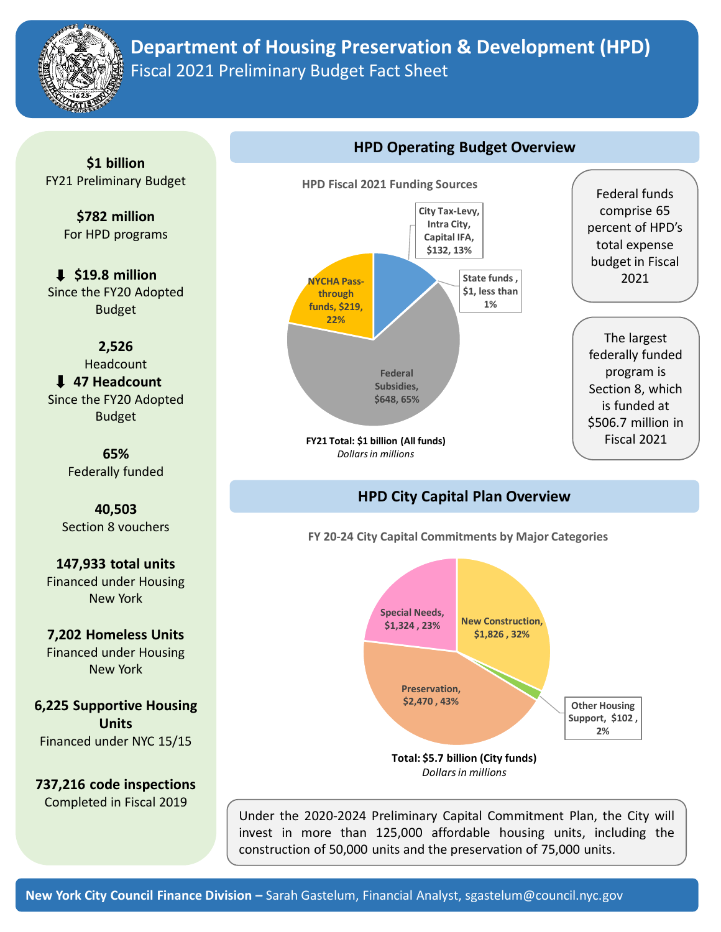

## **Department of Housing Preservation & Development (HPD)** Fiscal 2021 Preliminary Budget Fact Sheet

**\$1 billion** FY21 Preliminary Budget

> **\$782 million** For HPD programs

**\$19.8 million** Since the FY20 Adopted Budget

**2,526** Headcount **47 Headcount** Since the FY20 Adopted Budget

> **65%**  Federally funded

**40,503** Section 8 vouchers

**147,933 total units** Financed under Housing New York

**7,202 Homeless Units** Financed under Housing New York

**6,225 Supportive Housing Units**  Financed under NYC 15/15

**737,216 code inspections**  Completed in Fiscal 2019



**FY21 Total: \$1 billion (All funds)** *Dollars in millions*

Federal funds comprise 65 percent of HPD's total expense budget in Fiscal 2021

The largest federally funded program is Section 8, which is funded at \$506.7 million in Fiscal 2021

## **HPD City Capital Plan Overview**

**HPD Operating Budget Overview**

**FY 20-24 City Capital Commitments by Major Categories**



Under the 2020-2024 Preliminary Capital Commitment Plan, the City will invest in more than 125,000 affordable housing units, including the construction of 50,000 units and the preservation of 75,000 units.